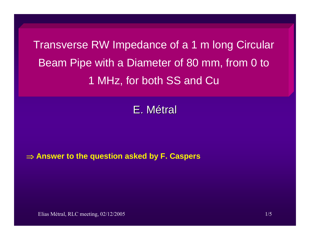Transverse RW Impedance of a 1 m long Circular Beam Pipe with a Diameter of 80 mm, from 0 to 1 MHz, for both SS and Cu

E. Métral

## ⇒ **Answer to the question asked by F. Caspers**

Elias Métral, RLC meeting, 02/12/2005 1/5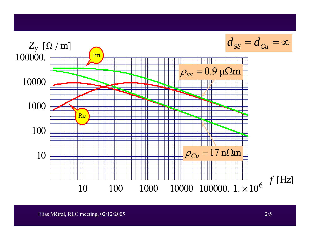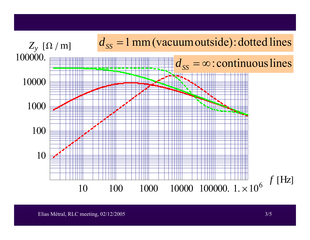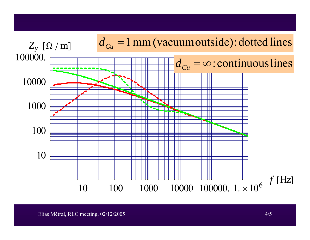